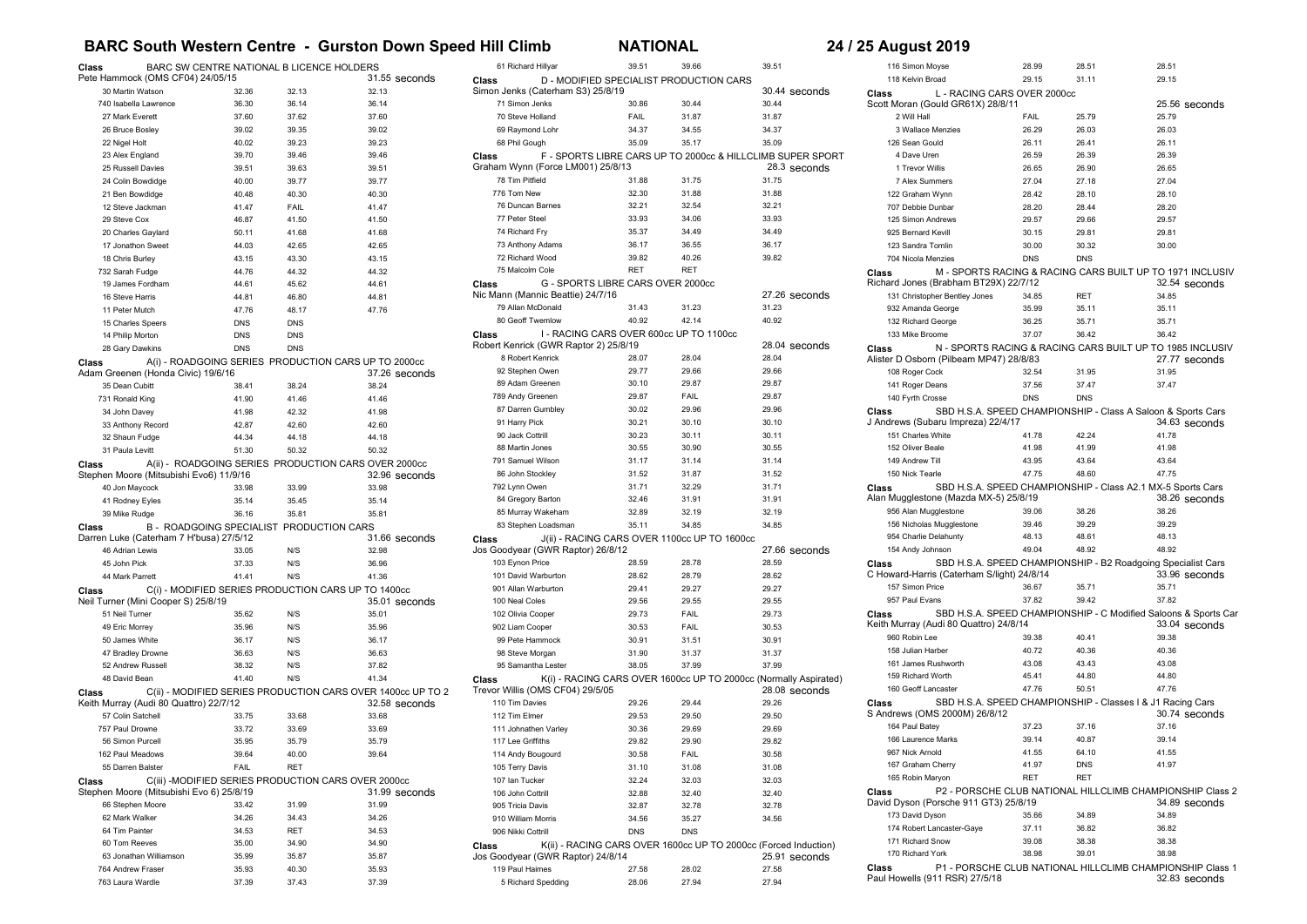## **BARC South Western Centre - Gurston Down Speed Hill Climb NATIONAL 24 / 25 August 2019**

| BARC SW CENTRE NATIONAL B LICENCE HOLDERS<br>Class<br>Pete Hammock (OMS CF04) 24/05/15 |                |                |                                                                              |
|----------------------------------------------------------------------------------------|----------------|----------------|------------------------------------------------------------------------------|
| 30 Martin Watson                                                                       | 32.36          | 32.13          | 31.55 seconds<br>32.13                                                       |
| 740 Isabella Lawrence                                                                  | 36.30          | 36.14          | 36.14                                                                        |
| 27 Mark Everett                                                                        | 37.60          | 37.62          | 37.60                                                                        |
| 26 Bruce Bosley                                                                        | 39.02          | 39.35          | 39.02                                                                        |
| 22 Nigel Holt                                                                          | 40.02          | 39.23          | 39.23                                                                        |
| 23 Alex England                                                                        | 39.70          | 39.46          | 39.46                                                                        |
| 25 Russell Davies                                                                      | 39.51          | 39.63          | 39.51                                                                        |
| 24 Colin Bowdidge                                                                      | 40.00          | 39.77          | 39.77                                                                        |
| 21 Ben Bowdidge                                                                        | 40.48          | 40.30          | 40.30                                                                        |
| 12 Steve Jackman                                                                       | 41.47          | FAIL           | 41.47                                                                        |
| 29 Steve Cox                                                                           | 46.87          | 41.50          | 41.50                                                                        |
| 20 Charles Gaylard                                                                     | 50.11          | 41.68          | 41.68                                                                        |
| 17 Jonathon Sweet                                                                      | 44.03          | 42.65          | 42.65                                                                        |
| 18 Chris Burley                                                                        | 43.15          | 43.30          | 43.15                                                                        |
| 732 Sarah Fudge                                                                        | 44.76          | 44.32          | 44.32                                                                        |
| 19 James Fordham                                                                       | 44.61          | 45.62          | 44.61                                                                        |
| 16 Steve Harris                                                                        | 44.81          | 46.80          | 44.81                                                                        |
| 11 Peter Mutch                                                                         | 47.76          | 48.17          | 47.76                                                                        |
| 15 Charles Speers                                                                      | <b>DNS</b>     | <b>DNS</b>     |                                                                              |
| 14 Philip Morton                                                                       | <b>DNS</b>     | <b>DNS</b>     |                                                                              |
| 28 Gary Dawkins                                                                        | <b>DNS</b>     | <b>DNS</b>     |                                                                              |
| Class                                                                                  |                |                | A(i) - ROADGOING SERIES PRODUCTION CARS UP TO 2000cc                         |
| Adam Greenen (Honda Civic) 19/6/16                                                     |                |                | 37.26 seconds                                                                |
| 35 Dean Cubitt                                                                         | 38.41          | 38.24          | 38.24                                                                        |
| 731 Ronald King                                                                        | 41.90          | 41.46          | 41.46                                                                        |
| 34 John Davey                                                                          | 41.98          | 42.32          | 41.98                                                                        |
| 33 Anthony Record<br>32 Shaun Fudge                                                    | 42.87<br>44.34 | 42.60<br>44.18 | 42.60<br>44.18                                                               |
| 31 Paula Levitt                                                                        | 51.30          | 50.32          | 50.32                                                                        |
| Class                                                                                  |                |                |                                                                              |
| Stephen Moore (Mitsubishi Evo6) 11/9/16                                                |                |                | A(ii) - ROADGOING SERIES PRODUCTION CARS OVER 2000cc<br>32.96 seconds        |
| 40 Jon Maycock                                                                         | 33.98          | 33.99          | 33.98                                                                        |
| 41 Rodney Eyles                                                                        | 35.14          | 35.45          | 35.14                                                                        |
| 39 Mike Rudge                                                                          | 36.16          | 35.81          | 35.81                                                                        |
| B - ROADGOING SPECIALIST PRODUCTION CARS<br>Class                                      |                |                |                                                                              |
| Darren Luke (Caterham 7 H'busa) 27/5/12                                                |                |                | 31.66 seconds                                                                |
| 46 Adrian Lewis                                                                        | 33.05          | N/S            | 32.98                                                                        |
| 45 John Pick                                                                           | 37.33          | N/S            | 36.96                                                                        |
| 44 Mark Parrett                                                                        | 41.41          | N/S            | 41.36                                                                        |
| Class                                                                                  |                |                | C(i) - MODIFIED SERIES PRODUCTION CARS UP TO 1400cc                          |
| Neil Turner (Mini Cooper S) 25/8/19                                                    |                |                | 35.01 seconds                                                                |
| 51 Neil Turner                                                                         | 35.62          | N/S            | 35.01                                                                        |
| 49 Eric Morrey                                                                         | 35.96          | N/S            | 35.96                                                                        |
| 50 James White                                                                         | 36.17          | N/S            | 36.17                                                                        |
| 47 Bradley Drowne                                                                      | 36.63          | N/S            | 36.63                                                                        |
| 52 Andrew Russell                                                                      | 38.32          | N/S            | 37.82                                                                        |
| 48 David Bean                                                                          | 41.40          | N/S            | 41.34                                                                        |
| Class<br>Keith Murray (Audi 80 Quattro) 22/7/12                                        |                |                | C(ii) - MODIFIED SERIES PRODUCTION CARS OVER 1400cc UP TO 2<br>32.58 seconds |
| 57 Colin Satchell                                                                      | 33.75          | 33.68          | 33.68                                                                        |
| 757 Paul Drowne                                                                        | 33.72          | 33.69          | 33.69                                                                        |
| 56 Simon Purcell                                                                       | 35.95          | 35.79          | 35.79                                                                        |
| 162 Paul Meadows                                                                       | 39.64          | 40.00          | 39.64                                                                        |
| 55 Darren Balster                                                                      | FAIL           | RET            |                                                                              |
| Class                                                                                  |                |                | C(iii) -MODIFIED SERIES PRODUCTION CARS OVER 2000cc                          |
| Stephen Moore (Mitsubishi Evo 6) 25/8/19                                               |                |                | 31.99 seconds                                                                |
| 66 Stephen Moore                                                                       | 33.42          | 31.99          | 31.99                                                                        |
| 62 Mark Walker                                                                         | 34.26          | 34.43          | 34.26                                                                        |
| 64 Tim Painter                                                                         | 34.53          | RET            | 34.53                                                                        |
| 60 Tom Reeves                                                                          | 35.00          | 34.90          | 34.90                                                                        |
| 63 Jonathan Williamson                                                                 | 35.99          | 35.87          | 35.87                                                                        |
| 764 Andrew Fraser                                                                      | 35.93          | 40.30          | 35.93                                                                        |
| 763 Laura Wardle                                                                       | 37.39          | 37.43          | 37.39                                                                        |

| 61 Richard Hillyar                                                                         | 39.51      | 39.66      | 39.51                                                            |
|--------------------------------------------------------------------------------------------|------------|------------|------------------------------------------------------------------|
| D - MODIFIED SPECIALIST PRODUCTION CARS<br>Class                                           |            |            |                                                                  |
| Simon Jenks (Caterham S3) 25/8/19                                                          |            |            | 30.44 seconds                                                    |
| 71 Simon Jenks                                                                             | 30.86      | 30.44      | 30.44                                                            |
| 70 Steve Holland                                                                           | FAIL       | 31.87      | 31.87                                                            |
| 69 Raymond Lohr                                                                            | 34.37      | 34.55      | 34.37                                                            |
| 68 Phil Gough                                                                              | 35.09      | 35.17      | 35.09                                                            |
| Class                                                                                      |            |            | F - SPORTS LIBRE CARS UP TO 2000cc & HILLCLIMB SUPER SPORT       |
| Graham Wynn (Force LM001) 25/8/13                                                          |            |            | 28.3 seconds                                                     |
| 78 Tim Pitfield                                                                            | 31.88      | 31.75      | 31.75                                                            |
| 776 Tom New                                                                                | 32.30      | 31.88      | 31.88                                                            |
| 76 Duncan Barnes                                                                           | 32.21      | 32.54      | 32.21                                                            |
| 77 Peter Steel                                                                             | 33.93      | 34.06      | 33.93                                                            |
| 74 Richard Frv                                                                             | 35.37      | 34.49      | 34.49                                                            |
| 73 Anthony Adams                                                                           | 36.17      | 36.55      | 36.17                                                            |
| 72 Richard Wood                                                                            | 39.82      | 40.26      | 39.82                                                            |
| 75 Malcolm Cole                                                                            | <b>RET</b> | <b>RET</b> |                                                                  |
| G - SPORTS LIBRE CARS OVER 2000cc<br>Class                                                 |            |            |                                                                  |
| Nic Mann (Mannic Beattie) 24/7/16                                                          |            |            | 27.26 seconds                                                    |
| 79 Allan McDonald                                                                          | 31.43      | 31.23      | 31.23                                                            |
| 80 Geoff Twemlow                                                                           | 40.92      | 42.14      | 40.92                                                            |
| I - RACING CARS OVER 600cc UP TO 1100cc<br>Class                                           |            |            |                                                                  |
| Robert Kenrick (GWR Raptor 2) 25/8/19                                                      |            |            | 28.04 seconds                                                    |
| 8 Robert Kenrick                                                                           | 28.07      | 28.04      | 28.04                                                            |
| 92 Stephen Owen                                                                            | 29.77      | 29.66      | 29.66                                                            |
| 89 Adam Greenen                                                                            | 30.10      | 29.87      | 29.87                                                            |
| 789 Andy Greenen                                                                           | 29.87      | FAIL       | 29.87                                                            |
| 87 Darren Gumbley                                                                          | 30.02      | 29.96      | 29.96                                                            |
| 91 Harry Pick                                                                              | 30.21      | 30.10      | 30.10                                                            |
| 90 Jack Cottrill                                                                           | 30.23      | 30.11      | 30.11                                                            |
| 88 Martin Jones                                                                            | 30.55      | 30.90      | 30.55                                                            |
| 791 Samuel Wilson                                                                          | 31.17      | 31.14      | 31.14                                                            |
| 86 John Stockley                                                                           | 31.52      | 31.87      | 31.52                                                            |
| 792 Lynn Owen                                                                              | 31.71      | 32.29      | 31.71                                                            |
| 84 Gregory Barton                                                                          | 32.46      | 31.91      | 31.91                                                            |
| 85 Murray Wakeham                                                                          | 32.89      | 32.19      | 32.19<br>34.85                                                   |
| 83 Stephen Loadsman                                                                        | 35.11      | 34.85      |                                                                  |
| J(ii) - RACING CARS OVER 1100cc UP TO 1600cc<br>Class<br>Jos Goodyear (GWR Raptor) 26/8/12 |            |            | 27.66 seconds                                                    |
| 103 Eynon Price                                                                            | 28.59      | 28.78      | 28.59                                                            |
| 101 David Warburton                                                                        | 28.62      | 28.79      | 28.62                                                            |
| 901 Allan Warburton                                                                        | 29.41      | 29.27      | 29.27                                                            |
| 100 Neal Coles                                                                             | 29.56      | 29.55      | 29.55                                                            |
| 102 Olivia Cooper                                                                          | 29.73      | FAIL       | 29.73                                                            |
| 902 Liam Cooper                                                                            | 30.53      | FAIL       | 30.53                                                            |
| 99 Pete Hammock                                                                            | 30.91      | 31.51      | 30.91                                                            |
| 98 Steve Morgan                                                                            | 31.90      | 31.37      | 31.37                                                            |
| 95 Samantha Lester                                                                         | 38.05      | 37.99      | 37.99                                                            |
| Class                                                                                      |            |            | K(i) - RACING CARS OVER 1600cc UP TO 2000cc (Normally Aspirated) |
| Trevor Willis (OMS CF04) 29/5/05                                                           |            |            | 28.08 seconds                                                    |
| 110 Tim Davies                                                                             | 29.26      | 29.44      | 29.26                                                            |
| 112 Tim Elmer                                                                              | 29.53      | 29.50      | 29.50                                                            |
| 111 Johnathen Varley                                                                       | 30.36      | 29.69      | 29.69                                                            |
| 117 Lee Griffiths                                                                          | 29.82      | 29.90      | 29.82                                                            |
| 114 Andy Bougourd                                                                          | 30.58      | FAIL       | 30.58                                                            |
| 105 Terry Davis                                                                            | 31.10      | 31.08      | 31.08                                                            |
| 107 Ian Tucker                                                                             | 32.24      | 32.03      | 32.03                                                            |
| 106 John Cottrill                                                                          | 32.88      | 32.40      | 32.40                                                            |
| 905 Tricia Davis                                                                           | 32.87      | 32.78      | 32.78                                                            |
| 910 William Morris                                                                         | 34.56      | 35.27      | 34.56                                                            |
| 906 Nikki Cottrill                                                                         | <b>DNS</b> | <b>DNS</b> |                                                                  |
| K(ii) - RACING CARS OVER 1600cc UP TO 2000cc (Forced Induction)<br>Class                   |            |            |                                                                  |
| Jos Goodyear (GWR Raptor) 24/8/14                                                          |            |            | 25.91 seconds                                                    |
| 119 Paul Haimes                                                                            | 27.58      | 28.02      | 27.58                                                            |
| 5 Richard Spedding                                                                         | 28.06      | 27.94      | 27.94                                                            |

| 116 Simon Moyse                            | 28.99          | 28.51      | 28.51                                                           |
|--------------------------------------------|----------------|------------|-----------------------------------------------------------------|
| 118 Kelvin Broad                           | 29.15          | 31.11      | 29.15                                                           |
| L - RACING CARS OVER 2000cc<br>Class       |                |            |                                                                 |
| Scott Moran (Gould GR61X) 28/8/11          |                |            | 25.56 seconds                                                   |
| 2 Will Hall                                | FAIL           | 25.79      | 25.79                                                           |
| 3 Wallace Menzies                          | 26.29          | 26.03      | 26.03                                                           |
| 126 Sean Gould                             | 26.11          | 26.41      | 26.11                                                           |
| 4 Dave Uren                                | 26.59          | 26.39      | 26.39                                                           |
| 1 Trevor Willis                            | 26.65          | 26.90      | 26.65                                                           |
| 7 Alex Summers                             | 27.04          | 27.18      | 27.04                                                           |
| 122 Graham Wynn                            | 28.42          | 28.10      | 28.10                                                           |
|                                            |                | 28.44      |                                                                 |
| 707 Debbie Dunbar                          | 28.20          |            | 28.20                                                           |
| 125 Simon Andrews                          | 29.57          | 29.66      | 29.57                                                           |
| 925 Bernard Kevill                         | 30.15          | 29.81      | 29.81                                                           |
| 123 Sandra Tomlin                          | 30.00          | 30.32      | 30.00                                                           |
| 704 Nicola Menzies                         | <b>DNS</b>     | <b>DNS</b> |                                                                 |
| Class                                      |                |            | M - SPORTS RACING & RACING CARS BUILT UP TO 1971 INCLUSIV       |
| Richard Jones (Brabham BT29X) 22/7/12      |                |            | 32.54 seconds                                                   |
| 131 Christopher Bentley Jones              | 34.85          | <b>RET</b> | 34.85                                                           |
| 932 Amanda George                          | 35.99          | 35.11      | 35.11                                                           |
| 132 Richard George                         | 36.25          | 35.71      | 35.71                                                           |
| 133 Mike Broome                            | 37.07          | 36.42      | 36.42                                                           |
| Class                                      |                |            | N - SPORTS RACING & RACING CARS BUILT UP TO 1985 INCLUSIV       |
| Alister D Osborn (Pilbeam MP47) 28/8/83    |                |            | 27.77 seconds                                                   |
| 108 Roger Cock                             | 32.54          | 31.95      | 31.95                                                           |
| 141 Roger Deans                            | 37.56          | 37.47      | 37.47                                                           |
| 140 Fyrth Crosse                           | <b>DNS</b>     | <b>DNS</b> |                                                                 |
| Class                                      |                |            | SBD H.S.A. SPEED CHAMPIONSHIP - Class A Saloon & Sports Cars    |
| J Andrews (Subaru Impreza) 22/4/17         |                |            | 34.63 seconds                                                   |
| 151 Charles White                          | 41.78          | 42.24      | 41.78                                                           |
| 152 Oliver Beale                           | 41.98          | 41.99      | 41.98                                                           |
| 149 Andrew Till                            | 43.95          | 43.64      | 43.64                                                           |
| 150 Nick Tearle                            | 47.75          | 48.60      | 47.75                                                           |
| Class                                      |                |            | SBD H.S.A. SPEED CHAMPIONSHIP - Class A2.1 MX-5 Sports Cars     |
| Alan Mugglestone (Mazda MX-5) 25/8/19      |                |            | 38.26 seconds                                                   |
| 956 Alan Mugglestone                       | 39.06          | 38.26      | 38.26                                                           |
| 156 Nicholas Mugglestone                   | 39.46          | 39.29      | 39.29                                                           |
| 954 Charlie Delahunty                      | 48.13          | 48.61      | 48.13                                                           |
| 154 Andy Johnson                           | 49.04          | 48.92      | 48.92                                                           |
|                                            |                |            |                                                                 |
| Class                                      |                |            | SBD H.S.A. SPEED CHAMPIONSHIP - B2 Roadgoing Specialist Cars    |
| C Howard-Harris (Caterham S/light) 24/8/14 |                |            | 33.96 seconds                                                   |
| 157 Simon Price<br>957 Paul Evans          | 36.67<br>37.82 | 35.71      | 35.71<br>37.82                                                  |
|                                            |                | 39.42      |                                                                 |
| Class                                      |                |            | SBD H.S.A. SPEED CHAMPIONSHIP - C Modified Saloons & Sports Car |
| Keith Murray (Audi 80 Quattro) 24/8/14     |                |            | 33.04 seconds                                                   |
| 960 Robin Lee                              | 39.38          | 40.41      | 39.38                                                           |
| 158 Julian Harber                          | 40.72          | 40.36      | 40.36                                                           |
| 161 James Rushworth                        | 43.08          | 43.43      | 43.08                                                           |
| 159 Richard Worth                          | 45.41          | 44.80      | 44.80                                                           |
| 160 Geoff Lancaster                        | 47.76          | 50.51      | 47.76                                                           |
| Class                                      |                |            | SBD H.S.A. SPEED CHAMPIONSHIP - Classes I & J1 Racing Cars      |
| S Andrews (OMS 2000M) 26/8/12              |                |            | 30.74 seconds                                                   |
| 164 Paul Batey                             | 37.23          | 37.16      | 37.16                                                           |
| 166 Laurence Marks                         | 39.14          | 40.87      | 39.14                                                           |
| 967 Nick Arnold                            | 41.55          | 64.10      | 41.55                                                           |
| 167 Graham Cherry                          | 41.97          | <b>DNS</b> | 41.97                                                           |
| 165 Robin Maryon                           | <b>RFT</b>     | <b>RFT</b> |                                                                 |
| Class                                      |                |            | P2 - PORSCHE CLUB NATIONAL HILLCLIMB CHAMPIONSHIP Class 2       |
| David Dyson (Porsche 911 GT3) 25/8/19      |                |            | 34.89 seconds                                                   |
| 173 David Dyson                            | 35.66          | 34.89      | 34.89                                                           |
| 174 Robert Lancaster-Gaye                  | 37.11          | 36.82      | 36.82                                                           |
| 171 Richard Snow                           | 39.08          | 38.38      | 38.38                                                           |
| 170 Richard York                           | 38.98          | 39.01      | 38.98                                                           |
| Class                                      |                |            | P1 - PORSCHE CLUB NATIONAL HILLCLIMB CHAMPIONSHIP Class 1       |
|                                            |                |            |                                                                 |

32.83 seconds **Class** P1 - PORSCHE CLUB NATIONAL HILLCLIMB CHAMPIONSHIP Class 1 Paul Howells (911 RSR) 27/5/18 32.83